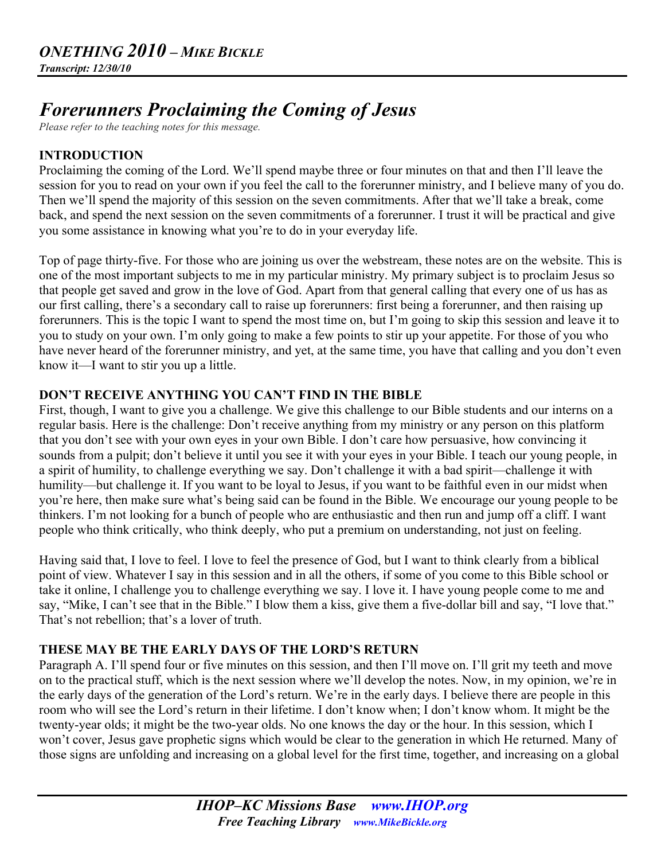# *Forerunners Proclaiming the Coming of Jesus*

*Please refer to the teaching notes for this message.*

## **INTRODUCTION**

Proclaiming the coming of the Lord. We'll spend maybe three or four minutes on that and then I'll leave the session for you to read on your own if you feel the call to the forerunner ministry, and I believe many of you do. Then we'll spend the majority of this session on the seven commitments. After that we'll take a break, come back, and spend the next session on the seven commitments of a forerunner. I trust it will be practical and give you some assistance in knowing what you're to do in your everyday life.

Top of page thirty-five. For those who are joining us over the webstream, these notes are on the website. This is one of the most important subjects to me in my particular ministry. My primary subject is to proclaim Jesus so that people get saved and grow in the love of God. Apart from that general calling that every one of us has as our first calling, there's a secondary call to raise up forerunners: first being a forerunner, and then raising up forerunners. This is the topic I want to spend the most time on, but I'm going to skip this session and leave it to you to study on your own. I'm only going to make a few points to stir up your appetite. For those of you who have never heard of the forerunner ministry, and yet, at the same time, you have that calling and you don't even know it—I want to stir you up a little.

## **DON'T RECEIVE ANYTHING YOU CAN'T FIND IN THE BIBLE**

First, though, I want to give you a challenge. We give this challenge to our Bible students and our interns on a regular basis. Here is the challenge: Don't receive anything from my ministry or any person on this platform that you don't see with your own eyes in your own Bible. I don't care how persuasive, how convincing it sounds from a pulpit; don't believe it until you see it with your eyes in your Bible. I teach our young people, in a spirit of humility, to challenge everything we say. Don't challenge it with a bad spirit—challenge it with humility—but challenge it. If you want to be loyal to Jesus, if you want to be faithful even in our midst when you're here, then make sure what's being said can be found in the Bible. We encourage our young people to be thinkers. I'm not looking for a bunch of people who are enthusiastic and then run and jump off a cliff. I want people who think critically, who think deeply, who put a premium on understanding, not just on feeling.

Having said that, I love to feel. I love to feel the presence of God, but I want to think clearly from a biblical point of view. Whatever I say in this session and in all the others, if some of you come to this Bible school or take it online, I challenge you to challenge everything we say. I love it. I have young people come to me and say, "Mike, I can't see that in the Bible." I blow them a kiss, give them a five-dollar bill and say, "I love that." That's not rebellion; that's a lover of truth.

## **THESE MAY BE THE EARLY DAYS OF THE LORD'S RETURN**

Paragraph A. I'll spend four or five minutes on this session, and then I'll move on. I'll grit my teeth and move on to the practical stuff, which is the next session where we'll develop the notes. Now, in my opinion, we're in the early days of the generation of the Lord's return. We're in the early days. I believe there are people in this room who will see the Lord's return in their lifetime. I don't know when; I don't know whom. It might be the twenty-year olds; it might be the two-year olds. No one knows the day or the hour. In this session, which I won't cover, Jesus gave prophetic signs which would be clear to the generation in which He returned. Many of those signs are unfolding and increasing on a global level for the first time, together, and increasing on a global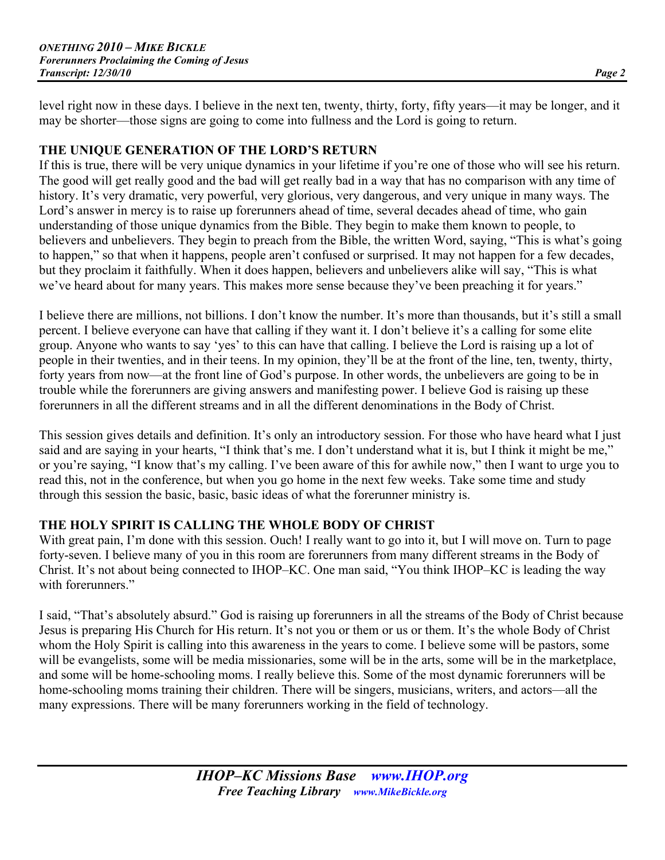level right now in these days. I believe in the next ten, twenty, thirty, forty, fifty years—it may be longer, and it may be shorter—those signs are going to come into fullness and the Lord is going to return.

#### **THE UNIQUE GENERATION OF THE LORD'S RETURN**

If this is true, there will be very unique dynamics in your lifetime if you're one of those who will see his return. The good will get really good and the bad will get really bad in a way that has no comparison with any time of history. It's very dramatic, very powerful, very glorious, very dangerous, and very unique in many ways. The Lord's answer in mercy is to raise up forerunners ahead of time, several decades ahead of time, who gain understanding of those unique dynamics from the Bible. They begin to make them known to people, to believers and unbelievers. They begin to preach from the Bible, the written Word, saying, "This is what's going to happen," so that when it happens, people aren't confused or surprised. It may not happen for a few decades, but they proclaim it faithfully. When it does happen, believers and unbelievers alike will say, "This is what we've heard about for many years. This makes more sense because they've been preaching it for years."

I believe there are millions, not billions. I don't know the number. It's more than thousands, but it's still a small percent. I believe everyone can have that calling if they want it. I don't believe it's a calling for some elite group. Anyone who wants to say 'yes' to this can have that calling. I believe the Lord is raising up a lot of people in their twenties, and in their teens. In my opinion, they'll be at the front of the line, ten, twenty, thirty, forty years from now—at the front line of God's purpose. In other words, the unbelievers are going to be in trouble while the forerunners are giving answers and manifesting power. I believe God is raising up these forerunners in all the different streams and in all the different denominations in the Body of Christ.

This session gives details and definition. It's only an introductory session. For those who have heard what I just said and are saying in your hearts, "I think that's me. I don't understand what it is, but I think it might be me," or you're saying, "I know that's my calling. I've been aware of this for awhile now," then I want to urge you to read this, not in the conference, but when you go home in the next few weeks. Take some time and study through this session the basic, basic, basic ideas of what the forerunner ministry is.

## **THE HOLY SPIRIT IS CALLING THE WHOLE BODY OF CHRIST**

With great pain, I'm done with this session. Ouch! I really want to go into it, but I will move on. Turn to page forty-seven. I believe many of you in this room are forerunners from many different streams in the Body of Christ. It's not about being connected to IHOP–KC. One man said, "You think IHOP–KC is leading the way with forerunners."

I said, "That's absolutely absurd." God is raising up forerunners in all the streams of the Body of Christ because Jesus is preparing His Church for His return. It's not you or them or us or them. It's the whole Body of Christ whom the Holy Spirit is calling into this awareness in the years to come. I believe some will be pastors, some will be evangelists, some will be media missionaries, some will be in the arts, some will be in the marketplace, and some will be home-schooling moms. I really believe this. Some of the most dynamic forerunners will be home-schooling moms training their children. There will be singers, musicians, writers, and actors—all the many expressions. There will be many forerunners working in the field of technology.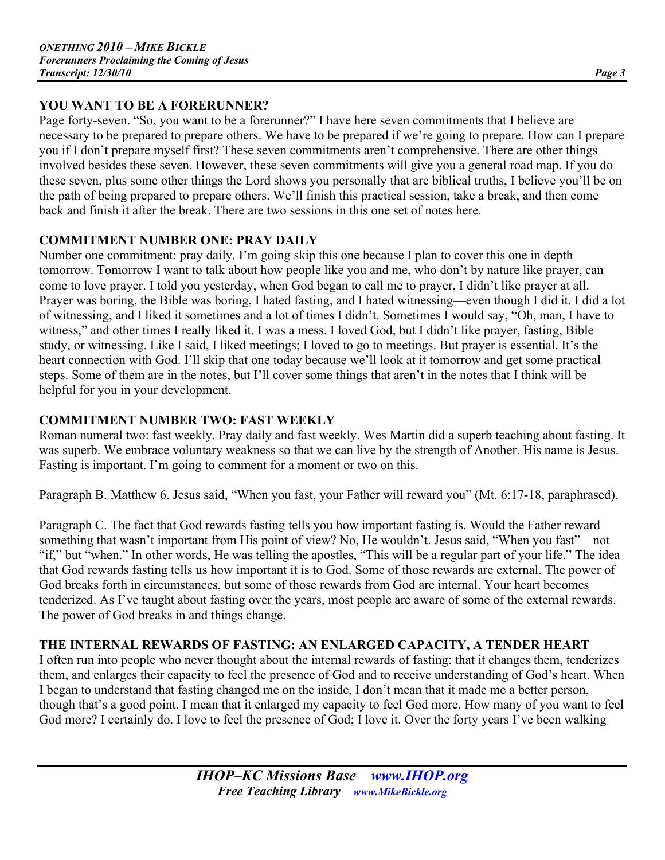## **YOU WANT TO BE A FORERUNNER?**

Page forty-seven. "So, you want to be a forerunner?" I have here seven commitments that I believe are necessary to be prepared to prepare others. We have to be prepared if we're going to prepare. How can I prepare you if I don't prepare myself first? These seven commitments aren't comprehensive. There are other things involved besides these seven. However, these seven commitments will give you a general road map. If you do these seven, plus some other things the Lord shows you personally that are biblical truths, I believe you'll be on the path of being prepared to prepare others. We'll finish this practical session, take a break, and then come back and finish it after the break. There are two sessions in this one set of notes here.

## **COMMITMENT NUMBER ONE: PRAY DAILY**

Number one commitment: pray daily. I'm going skip this one because I plan to cover this one in depth tomorrow. Tomorrow I want to talk about how people like you and me, who don't by nature like prayer, can come to love prayer. I told you yesterday, when God began to call me to prayer, I didn't like prayer at all. Prayer was boring, the Bible was boring, I hated fasting, and I hated witnessing—even though I did it. I did a lot of witnessing, and I liked it sometimes and a lot of times I didn't. Sometimes I would say, "Oh, man, I have to witness," and other times I really liked it. I was a mess. I loved God, but I didn't like prayer, fasting, Bible study, or witnessing. Like I said, I liked meetings; I loved to go to meetings. But prayer is essential. It's the heart connection with God. I'll skip that one today because we'll look at it tomorrow and get some practical steps. Some of them are in the notes, but I'll cover some things that aren't in the notes that I think will be helpful for you in your development.

# **COMMITMENT NUMBER TWO: FAST WEEKLY**

Roman numeral two: fast weekly. Pray daily and fast weekly. Wes Martin did a superb teaching about fasting. It was superb. We embrace voluntary weakness so that we can live by the strength of Another. His name is Jesus. Fasting is important. I'm going to comment for a moment or two on this.

Paragraph B. Matthew 6. Jesus said, "When you fast, your Father will reward you" (Mt. 6:17-18, paraphrased).

Paragraph C. The fact that God rewards fasting tells you how important fasting is. Would the Father reward something that wasn't important from His point of view? No, He wouldn't. Jesus said, "When you fast"—not "if," but "when." In other words, He was telling the apostles, "This will be a regular part of your life." The idea that God rewards fasting tells us how important it is to God. Some of those rewards are external. The power of God breaks forth in circumstances, but some of those rewards from God are internal. Your heart becomes tenderized. As I've taught about fasting over the years, most people are aware of some of the external rewards. The power of God breaks in and things change.

# **THE INTERNAL REWARDS OF FASTING: AN ENLARGED CAPACITY, A TENDER HEART**

I often run into people who never thought about the internal rewards of fasting: that it changes them, tenderizes them, and enlarges their capacity to feel the presence of God and to receive understanding of God's heart. When I began to understand that fasting changed me on the inside, I don't mean that it made me a better person, though that's a good point. I mean that it enlarged my capacity to feel God more. How many of you want to feel God more? I certainly do. I love to feel the presence of God; I love it. Over the forty years I've been walking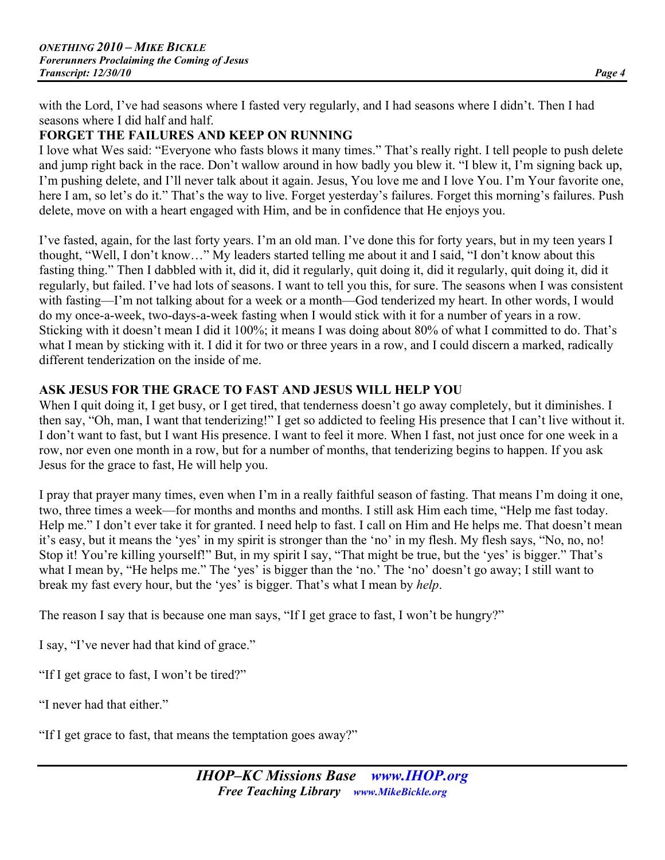with the Lord, I've had seasons where I fasted very regularly, and I had seasons where I didn't. Then I had seasons where I did half and half.

## **FORGET THE FAILURES AND KEEP ON RUNNING**

I love what Wes said: "Everyone who fasts blows it many times." That's really right. I tell people to push delete and jump right back in the race. Don't wallow around in how badly you blew it. "I blew it, I'm signing back up, I'm pushing delete, and I'll never talk about it again. Jesus, You love me and I love You. I'm Your favorite one, here I am, so let's do it." That's the way to live. Forget yesterday's failures. Forget this morning's failures. Push delete, move on with a heart engaged with Him, and be in confidence that He enjoys you.

I've fasted, again, for the last forty years. I'm an old man. I've done this for forty years, but in my teen years I thought, "Well, I don't know…" My leaders started telling me about it and I said, "I don't know about this fasting thing." Then I dabbled with it, did it, did it regularly, quit doing it, did it regularly, quit doing it, did it regularly, but failed. I've had lots of seasons. I want to tell you this, for sure. The seasons when I was consistent with fasting—I'm not talking about for a week or a month—God tenderized my heart. In other words, I would do my once-a-week, two-days-a-week fasting when I would stick with it for a number of years in a row. Sticking with it doesn't mean I did it 100%; it means I was doing about 80% of what I committed to do. That's what I mean by sticking with it. I did it for two or three years in a row, and I could discern a marked, radically different tenderization on the inside of me.

## **ASK JESUS FOR THE GRACE TO FAST AND JESUS WILL HELP YOU**

When I quit doing it, I get busy, or I get tired, that tenderness doesn't go away completely, but it diminishes. I then say, "Oh, man, I want that tenderizing!" I get so addicted to feeling His presence that I can't live without it. I don't want to fast, but I want His presence. I want to feel it more. When I fast, not just once for one week in a row, nor even one month in a row, but for a number of months, that tenderizing begins to happen. If you ask Jesus for the grace to fast, He will help you.

I pray that prayer many times, even when I'm in a really faithful season of fasting. That means I'm doing it one, two, three times a week—for months and months and months. I still ask Him each time, "Help me fast today. Help me." I don't ever take it for granted. I need help to fast. I call on Him and He helps me. That doesn't mean it's easy, but it means the 'yes' in my spirit is stronger than the 'no' in my flesh. My flesh says, "No, no, no! Stop it! You're killing yourself!" But, in my spirit I say, "That might be true, but the 'yes' is bigger." That's what I mean by, "He helps me." The 'yes' is bigger than the 'no.' The 'no' doesn't go away; I still want to break my fast every hour, but the 'yes' is bigger. That's what I mean by *help*.

The reason I say that is because one man says, "If I get grace to fast, I won't be hungry?"

I say, "I've never had that kind of grace."

"If I get grace to fast, I won't be tired?"

"I never had that either."

"If I get grace to fast, that means the temptation goes away?"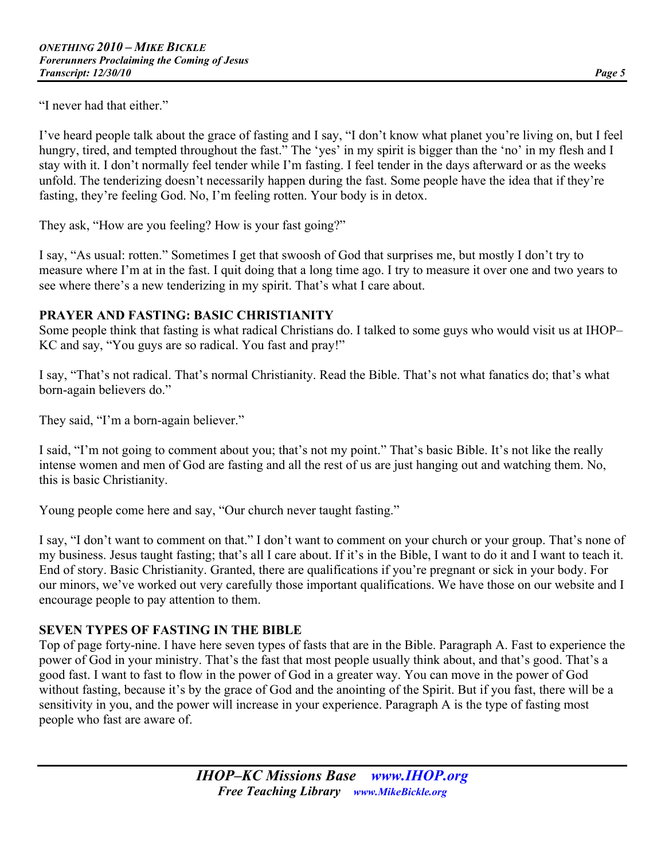"I never had that either."

I've heard people talk about the grace of fasting and I say, "I don't know what planet you're living on, but I feel hungry, tired, and tempted throughout the fast." The 'yes' in my spirit is bigger than the 'no' in my flesh and I stay with it. I don't normally feel tender while I'm fasting. I feel tender in the days afterward or as the weeks unfold. The tenderizing doesn't necessarily happen during the fast. Some people have the idea that if they're fasting, they're feeling God. No, I'm feeling rotten. Your body is in detox.

They ask, "How are you feeling? How is your fast going?"

I say, "As usual: rotten." Sometimes I get that swoosh of God that surprises me, but mostly I don't try to measure where I'm at in the fast. I quit doing that a long time ago. I try to measure it over one and two years to see where there's a new tenderizing in my spirit. That's what I care about.

#### **PRAYER AND FASTING: BASIC CHRISTIANITY**

Some people think that fasting is what radical Christians do. I talked to some guys who would visit us at IHOP– KC and say, "You guys are so radical. You fast and pray!"

I say, "That's not radical. That's normal Christianity. Read the Bible. That's not what fanatics do; that's what born-again believers do."

They said, "I'm a born-again believer."

I said, "I'm not going to comment about you; that's not my point." That's basic Bible. It's not like the really intense women and men of God are fasting and all the rest of us are just hanging out and watching them. No, this is basic Christianity.

Young people come here and say, "Our church never taught fasting."

I say, "I don't want to comment on that." I don't want to comment on your church or your group. That's none of my business. Jesus taught fasting; that's all I care about. If it's in the Bible, I want to do it and I want to teach it. End of story. Basic Christianity. Granted, there are qualifications if you're pregnant or sick in your body. For our minors, we've worked out very carefully those important qualifications. We have those on our website and I encourage people to pay attention to them.

## **SEVEN TYPES OF FASTING IN THE BIBLE**

Top of page forty-nine. I have here seven types of fasts that are in the Bible. Paragraph A. Fast to experience the power of God in your ministry. That's the fast that most people usually think about, and that's good. That's a good fast. I want to fast to flow in the power of God in a greater way. You can move in the power of God without fasting, because it's by the grace of God and the anointing of the Spirit. But if you fast, there will be a sensitivity in you, and the power will increase in your experience. Paragraph A is the type of fasting most people who fast are aware of.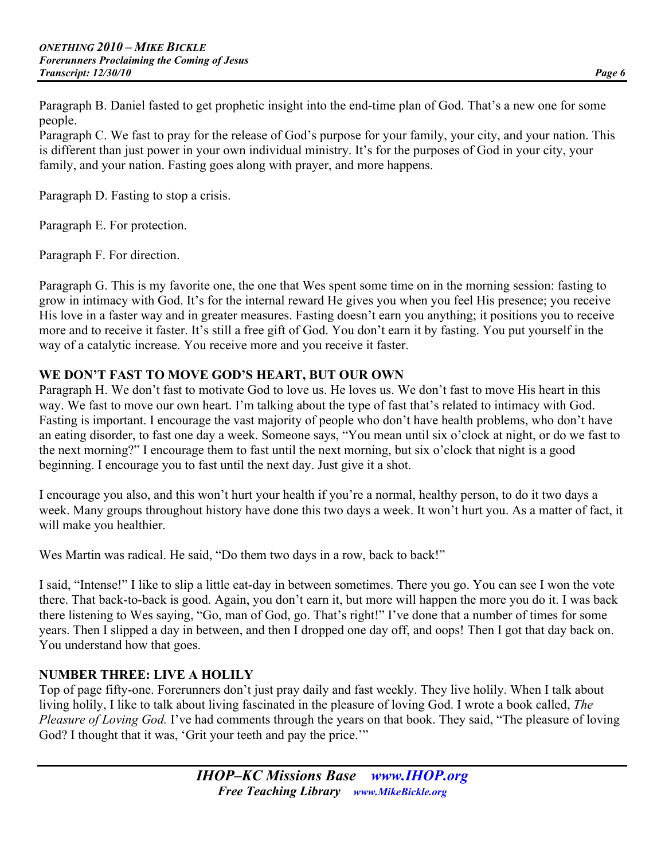Paragraph B. Daniel fasted to get prophetic insight into the end-time plan of God. That's a new one for some people.

Paragraph C. We fast to pray for the release of God's purpose for your family, your city, and your nation. This is different than just power in your own individual ministry. It's for the purposes of God in your city, your family, and your nation. Fasting goes along with prayer, and more happens.

Paragraph D. Fasting to stop a crisis.

Paragraph E. For protection.

Paragraph F. For direction.

Paragraph G. This is my favorite one, the one that Wes spent some time on in the morning session: fasting to grow in intimacy with God. It's for the internal reward He gives you when you feel His presence; you receive His love in a faster way and in greater measures. Fasting doesn't earn you anything; it positions you to receive more and to receive it faster. It's still a free gift of God. You don't earn it by fasting. You put yourself in the way of a catalytic increase. You receive more and you receive it faster.

## **WE DON'T FAST TO MOVE GOD'S HEART, BUT OUR OWN**

Paragraph H. We don't fast to motivate God to love us. He loves us. We don't fast to move His heart in this way. We fast to move our own heart. I'm talking about the type of fast that's related to intimacy with God. Fasting is important. I encourage the vast majority of people who don't have health problems, who don't have an eating disorder, to fast one day a week. Someone says, "You mean until six o'clock at night, or do we fast to the next morning?" I encourage them to fast until the next morning, but six o'clock that night is a good beginning. I encourage you to fast until the next day. Just give it a shot.

I encourage you also, and this won't hurt your health if you're a normal, healthy person, to do it two days a week. Many groups throughout history have done this two days a week. It won't hurt you. As a matter of fact, it will make you healthier.

Wes Martin was radical. He said, "Do them two days in a row, back to back!"

I said, "Intense!" I like to slip a little eat-day in between sometimes. There you go. You can see I won the vote there. That back-to-back is good. Again, you don't earn it, but more will happen the more you do it. I was back there listening to Wes saying, "Go, man of God, go. That's right!" I've done that a number of times for some years. Then I slipped a day in between, and then I dropped one day off, and oops! Then I got that day back on. You understand how that goes.

## **NUMBER THREE: LIVE A HOLILY**

Top of page fifty-one. Forerunners don't just pray daily and fast weekly. They live holily. When I talk about living holily, I like to talk about living fascinated in the pleasure of loving God. I wrote a book called, *The Pleasure of Loving God.* I've had comments through the years on that book. They said, "The pleasure of loving God? I thought that it was, 'Grit your teeth and pay the price.'"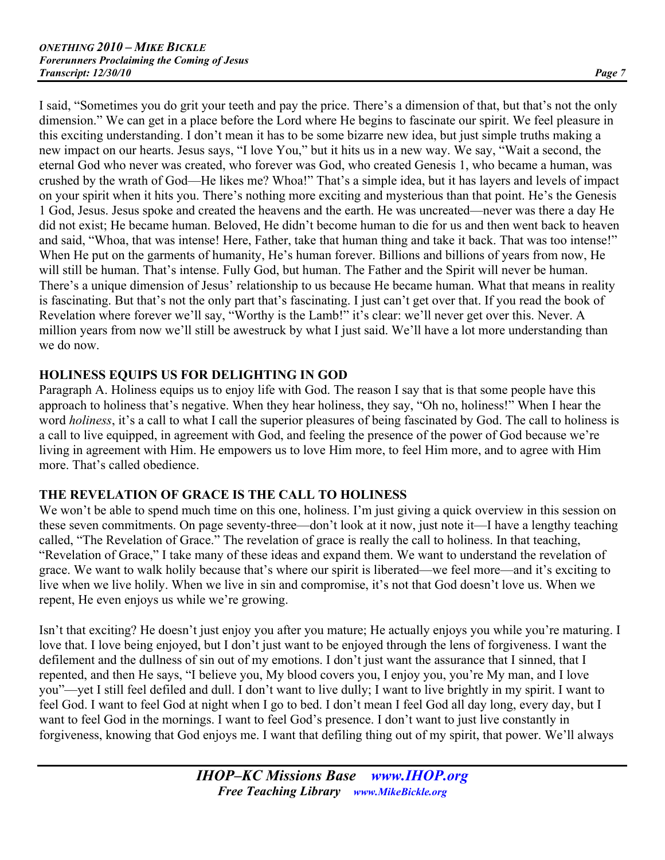I said, "Sometimes you do grit your teeth and pay the price. There's a dimension of that, but that's not the only dimension." We can get in a place before the Lord where He begins to fascinate our spirit. We feel pleasure in this exciting understanding. I don't mean it has to be some bizarre new idea, but just simple truths making a new impact on our hearts. Jesus says, "I love You," but it hits us in a new way. We say, "Wait a second, the eternal God who never was created, who forever was God, who created Genesis 1, who became a human, was crushed by the wrath of God—He likes me? Whoa!" That's a simple idea, but it has layers and levels of impact on your spirit when it hits you. There's nothing more exciting and mysterious than that point. He's the Genesis 1 God, Jesus. Jesus spoke and created the heavens and the earth. He was uncreated—never was there a day He did not exist; He became human. Beloved, He didn't become human to die for us and then went back to heaven and said, "Whoa, that was intense! Here, Father, take that human thing and take it back. That was too intense!" When He put on the garments of humanity, He's human forever. Billions and billions of years from now, He will still be human. That's intense. Fully God, but human. The Father and the Spirit will never be human. There's a unique dimension of Jesus' relationship to us because He became human. What that means in reality is fascinating. But that's not the only part that's fascinating. I just can't get over that. If you read the book of Revelation where forever we'll say, "Worthy is the Lamb!" it's clear: we'll never get over this. Never. A million years from now we'll still be awestruck by what I just said. We'll have a lot more understanding than we do now.

## **HOLINESS EQUIPS US FOR DELIGHTING IN GOD**

Paragraph A. Holiness equips us to enjoy life with God. The reason I say that is that some people have this approach to holiness that's negative. When they hear holiness, they say, "Oh no, holiness!" When I hear the word *holiness*, it's a call to what I call the superior pleasures of being fascinated by God. The call to holiness is a call to live equipped, in agreement with God, and feeling the presence of the power of God because we're living in agreement with Him. He empowers us to love Him more, to feel Him more, and to agree with Him more. That's called obedience.

## **THE REVELATION OF GRACE IS THE CALL TO HOLINESS**

We won't be able to spend much time on this one, holiness. I'm just giving a quick overview in this session on these seven commitments. On page seventy-three—don't look at it now, just note it—I have a lengthy teaching called, "The Revelation of Grace." The revelation of grace is really the call to holiness. In that teaching, "Revelation of Grace," I take many of these ideas and expand them. We want to understand the revelation of grace. We want to walk holily because that's where our spirit is liberated—we feel more—and it's exciting to live when we live holily. When we live in sin and compromise, it's not that God doesn't love us. When we repent, He even enjoys us while we're growing.

Isn't that exciting? He doesn't just enjoy you after you mature; He actually enjoys you while you're maturing. I love that. I love being enjoyed, but I don't just want to be enjoyed through the lens of forgiveness. I want the defilement and the dullness of sin out of my emotions. I don't just want the assurance that I sinned, that I repented, and then He says, "I believe you, My blood covers you, I enjoy you, you're My man, and I love you"—yet I still feel defiled and dull. I don't want to live dully; I want to live brightly in my spirit. I want to feel God. I want to feel God at night when I go to bed. I don't mean I feel God all day long, every day, but I want to feel God in the mornings. I want to feel God's presence. I don't want to just live constantly in forgiveness, knowing that God enjoys me. I want that defiling thing out of my spirit, that power. We'll always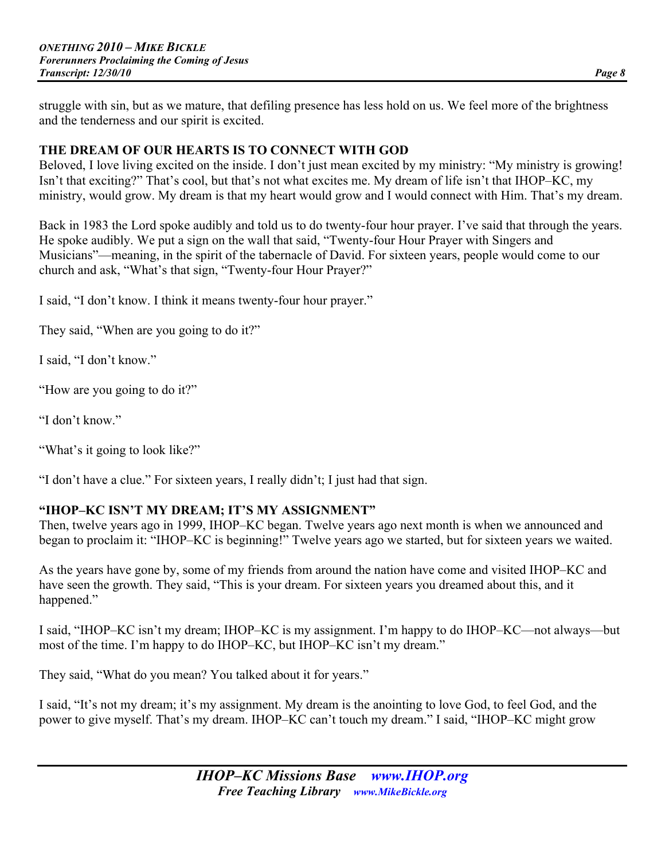struggle with sin, but as we mature, that defiling presence has less hold on us. We feel more of the brightness and the tenderness and our spirit is excited.

#### **THE DREAM OF OUR HEARTS IS TO CONNECT WITH GOD**

Beloved, I love living excited on the inside. I don't just mean excited by my ministry: "My ministry is growing! Isn't that exciting?" That's cool, but that's not what excites me. My dream of life isn't that IHOP–KC, my ministry, would grow. My dream is that my heart would grow and I would connect with Him. That's my dream.

Back in 1983 the Lord spoke audibly and told us to do twenty-four hour prayer. I've said that through the years. He spoke audibly. We put a sign on the wall that said, "Twenty-four Hour Prayer with Singers and Musicians"—meaning, in the spirit of the tabernacle of David. For sixteen years, people would come to our church and ask, "What's that sign, "Twenty-four Hour Prayer?"

I said, "I don't know. I think it means twenty-four hour prayer."

They said, "When are you going to do it?"

I said, "I don't know."

"How are you going to do it?"

"I don't know."

"What's it going to look like?"

"I don't have a clue." For sixteen years, I really didn't; I just had that sign.

#### **"IHOP–KC ISN'T MY DREAM; IT'S MY ASSIGNMENT"**

Then, twelve years ago in 1999, IHOP–KC began. Twelve years ago next month is when we announced and began to proclaim it: "IHOP–KC is beginning!" Twelve years ago we started, but for sixteen years we waited.

As the years have gone by, some of my friends from around the nation have come and visited IHOP–KC and have seen the growth. They said, "This is your dream. For sixteen years you dreamed about this, and it happened."

I said, "IHOP–KC isn't my dream; IHOP–KC is my assignment. I'm happy to do IHOP–KC—not always—but most of the time. I'm happy to do IHOP–KC, but IHOP–KC isn't my dream."

They said, "What do you mean? You talked about it for years."

I said, "It's not my dream; it's my assignment. My dream is the anointing to love God, to feel God, and the power to give myself. That's my dream. IHOP–KC can't touch my dream." I said, "IHOP–KC might grow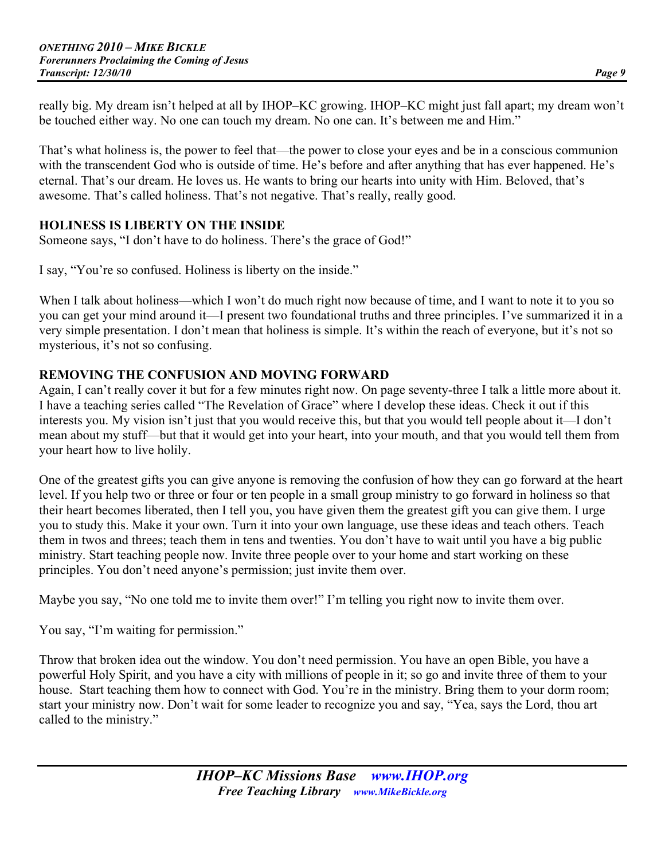really big. My dream isn't helped at all by IHOP–KC growing. IHOP–KC might just fall apart; my dream won't be touched either way. No one can touch my dream. No one can. It's between me and Him."

That's what holiness is, the power to feel that—the power to close your eyes and be in a conscious communion with the transcendent God who is outside of time. He's before and after anything that has ever happened. He's eternal. That's our dream. He loves us. He wants to bring our hearts into unity with Him. Beloved, that's awesome. That's called holiness. That's not negative. That's really, really good.

## **HOLINESS IS LIBERTY ON THE INSIDE**

Someone says, "I don't have to do holiness. There's the grace of God!"

I say, "You're so confused. Holiness is liberty on the inside."

When I talk about holiness—which I won't do much right now because of time, and I want to note it to you so you can get your mind around it—I present two foundational truths and three principles. I've summarized it in a very simple presentation. I don't mean that holiness is simple. It's within the reach of everyone, but it's not so mysterious, it's not so confusing.

## **REMOVING THE CONFUSION AND MOVING FORWARD**

Again, I can't really cover it but for a few minutes right now. On page seventy-three I talk a little more about it. I have a teaching series called "The Revelation of Grace" where I develop these ideas. Check it out if this interests you. My vision isn't just that you would receive this, but that you would tell people about it—I don't mean about my stuff—but that it would get into your heart, into your mouth, and that you would tell them from your heart how to live holily.

One of the greatest gifts you can give anyone is removing the confusion of how they can go forward at the heart level. If you help two or three or four or ten people in a small group ministry to go forward in holiness so that their heart becomes liberated, then I tell you, you have given them the greatest gift you can give them. I urge you to study this. Make it your own. Turn it into your own language, use these ideas and teach others. Teach them in twos and threes; teach them in tens and twenties. You don't have to wait until you have a big public ministry. Start teaching people now. Invite three people over to your home and start working on these principles. You don't need anyone's permission; just invite them over.

Maybe you say, "No one told me to invite them over!" I'm telling you right now to invite them over.

You say, "I'm waiting for permission."

Throw that broken idea out the window. You don't need permission. You have an open Bible, you have a powerful Holy Spirit, and you have a city with millions of people in it; so go and invite three of them to your house. Start teaching them how to connect with God. You're in the ministry. Bring them to your dorm room; start your ministry now. Don't wait for some leader to recognize you and say, "Yea, says the Lord, thou art called to the ministry."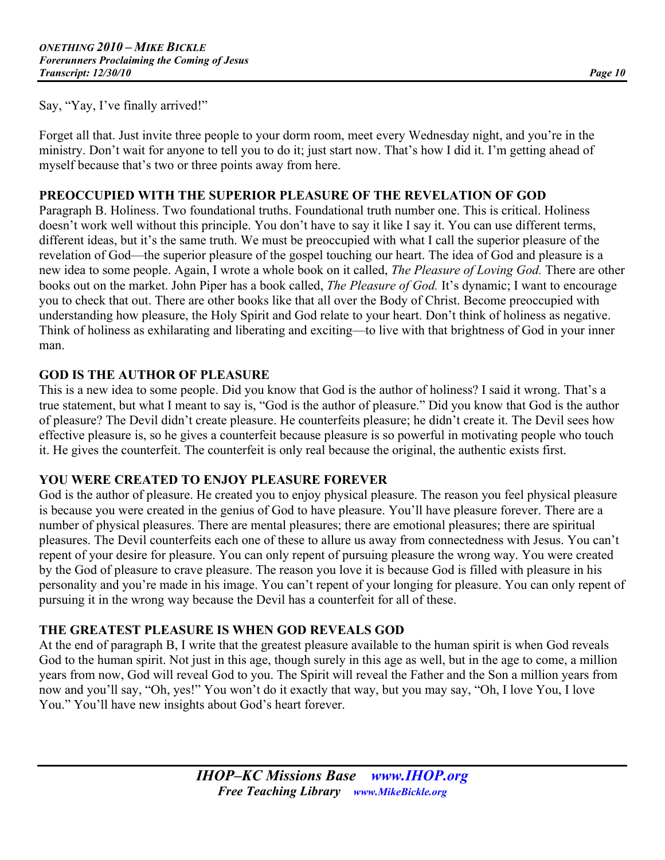Say, "Yay, I've finally arrived!"

Forget all that. Just invite three people to your dorm room, meet every Wednesday night, and you're in the ministry. Don't wait for anyone to tell you to do it; just start now. That's how I did it. I'm getting ahead of myself because that's two or three points away from here.

#### **PREOCCUPIED WITH THE SUPERIOR PLEASURE OF THE REVELATION OF GOD**

Paragraph B. Holiness. Two foundational truths. Foundational truth number one. This is critical. Holiness doesn't work well without this principle. You don't have to say it like I say it. You can use different terms, different ideas, but it's the same truth. We must be preoccupied with what I call the superior pleasure of the revelation of God—the superior pleasure of the gospel touching our heart. The idea of God and pleasure is a new idea to some people. Again, I wrote a whole book on it called, *The Pleasure of Loving God.* There are other books out on the market. John Piper has a book called, *The Pleasure of God.* It's dynamic; I want to encourage you to check that out. There are other books like that all over the Body of Christ. Become preoccupied with understanding how pleasure, the Holy Spirit and God relate to your heart. Don't think of holiness as negative. Think of holiness as exhilarating and liberating and exciting—to live with that brightness of God in your inner man.

#### **GOD IS THE AUTHOR OF PLEASURE**

This is a new idea to some people. Did you know that God is the author of holiness? I said it wrong. That's a true statement, but what I meant to say is, "God is the author of pleasure." Did you know that God is the author of pleasure? The Devil didn't create pleasure. He counterfeits pleasure; he didn't create it. The Devil sees how effective pleasure is, so he gives a counterfeit because pleasure is so powerful in motivating people who touch it. He gives the counterfeit. The counterfeit is only real because the original, the authentic exists first.

#### **YOU WERE CREATED TO ENJOY PLEASURE FOREVER**

God is the author of pleasure. He created you to enjoy physical pleasure. The reason you feel physical pleasure is because you were created in the genius of God to have pleasure. You'll have pleasure forever. There are a number of physical pleasures. There are mental pleasures; there are emotional pleasures; there are spiritual pleasures. The Devil counterfeits each one of these to allure us away from connectedness with Jesus. You can't repent of your desire for pleasure. You can only repent of pursuing pleasure the wrong way. You were created by the God of pleasure to crave pleasure. The reason you love it is because God is filled with pleasure in his personality and you're made in his image. You can't repent of your longing for pleasure. You can only repent of pursuing it in the wrong way because the Devil has a counterfeit for all of these.

## **THE GREATEST PLEASURE IS WHEN GOD REVEALS GOD**

At the end of paragraph B, I write that the greatest pleasure available to the human spirit is when God reveals God to the human spirit. Not just in this age, though surely in this age as well, but in the age to come, a million years from now, God will reveal God to you. The Spirit will reveal the Father and the Son a million years from now and you'll say, "Oh, yes!" You won't do it exactly that way, but you may say, "Oh, I love You, I love You." You'll have new insights about God's heart forever.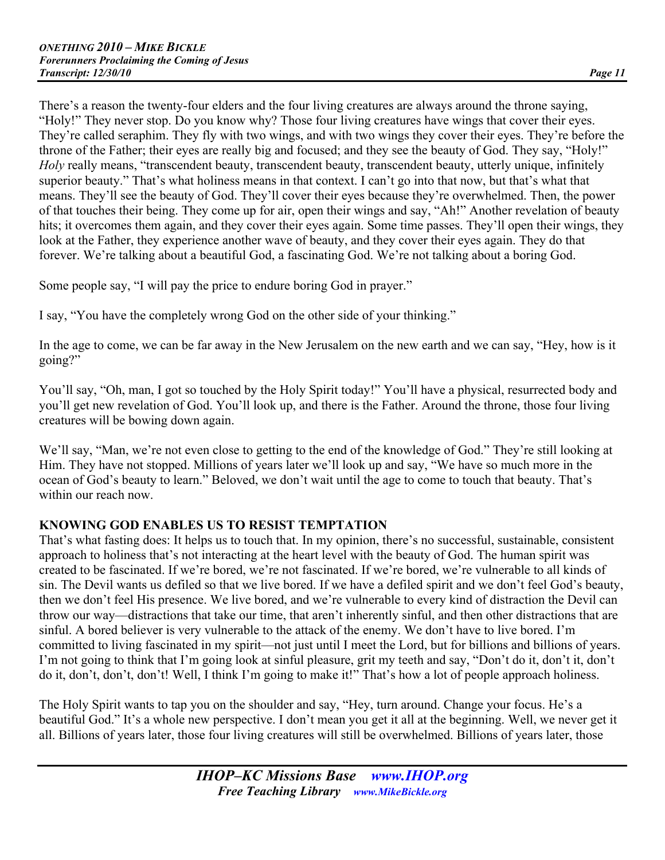There's a reason the twenty-four elders and the four living creatures are always around the throne saying, "Holy!" They never stop. Do you know why? Those four living creatures have wings that cover their eyes. They're called seraphim. They fly with two wings, and with two wings they cover their eyes. They're before the throne of the Father; their eyes are really big and focused; and they see the beauty of God. They say, "Holy!" *Holy* really means, "transcendent beauty, transcendent beauty, transcendent beauty, utterly unique, infinitely superior beauty." That's what holiness means in that context. I can't go into that now, but that's what that means. They'll see the beauty of God. They'll cover their eyes because they're overwhelmed. Then, the power of that touches their being. They come up for air, open their wings and say, "Ah!" Another revelation of beauty hits; it overcomes them again, and they cover their eyes again. Some time passes. They'll open their wings, they look at the Father, they experience another wave of beauty, and they cover their eyes again. They do that forever. We're talking about a beautiful God, a fascinating God. We're not talking about a boring God.

Some people say, "I will pay the price to endure boring God in prayer."

I say, "You have the completely wrong God on the other side of your thinking."

In the age to come, we can be far away in the New Jerusalem on the new earth and we can say, "Hey, how is it going?"

You'll say, "Oh, man, I got so touched by the Holy Spirit today!" You'll have a physical, resurrected body and you'll get new revelation of God. You'll look up, and there is the Father. Around the throne, those four living creatures will be bowing down again.

We'll say, "Man, we're not even close to getting to the end of the knowledge of God." They're still looking at Him. They have not stopped. Millions of years later we'll look up and say, "We have so much more in the ocean of God's beauty to learn." Beloved, we don't wait until the age to come to touch that beauty. That's within our reach now.

## **KNOWING GOD ENABLES US TO RESIST TEMPTATION**

That's what fasting does: It helps us to touch that. In my opinion, there's no successful, sustainable, consistent approach to holiness that's not interacting at the heart level with the beauty of God. The human spirit was created to be fascinated. If we're bored, we're not fascinated. If we're bored, we're vulnerable to all kinds of sin. The Devil wants us defiled so that we live bored. If we have a defiled spirit and we don't feel God's beauty, then we don't feel His presence. We live bored, and we're vulnerable to every kind of distraction the Devil can throw our way—distractions that take our time, that aren't inherently sinful, and then other distractions that are sinful. A bored believer is very vulnerable to the attack of the enemy. We don't have to live bored. I'm committed to living fascinated in my spirit—not just until I meet the Lord, but for billions and billions of years. I'm not going to think that I'm going look at sinful pleasure, grit my teeth and say, "Don't do it, don't it, don't do it, don't, don't, don't! Well, I think I'm going to make it!" That's how a lot of people approach holiness.

The Holy Spirit wants to tap you on the shoulder and say, "Hey, turn around. Change your focus. He's a beautiful God." It's a whole new perspective. I don't mean you get it all at the beginning. Well, we never get it all. Billions of years later, those four living creatures will still be overwhelmed. Billions of years later, those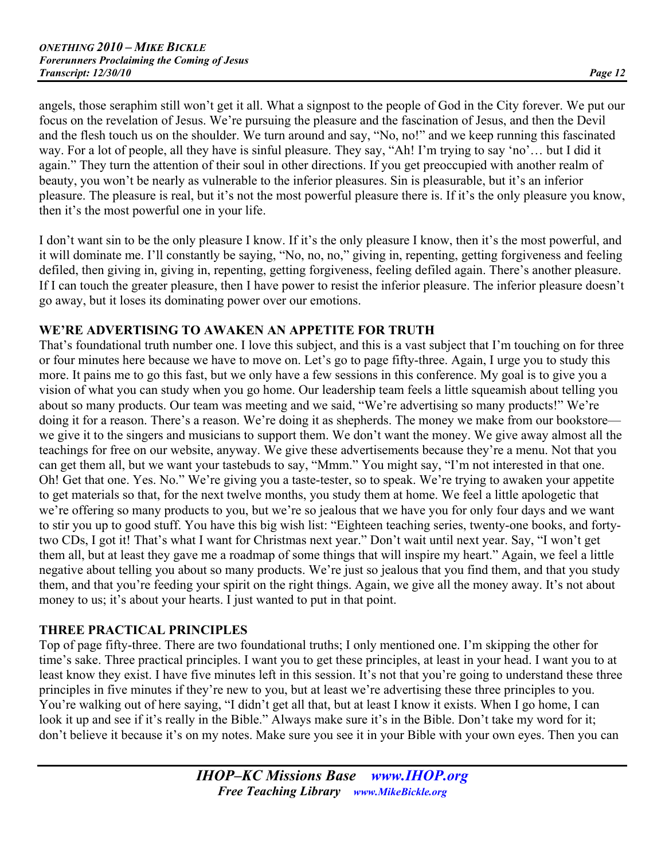angels, those seraphim still won't get it all. What a signpost to the people of God in the City forever. We put our focus on the revelation of Jesus. We're pursuing the pleasure and the fascination of Jesus, and then the Devil and the flesh touch us on the shoulder. We turn around and say, "No, no!" and we keep running this fascinated way. For a lot of people, all they have is sinful pleasure. They say, "Ah! I'm trying to say 'no'… but I did it again." They turn the attention of their soul in other directions. If you get preoccupied with another realm of beauty, you won't be nearly as vulnerable to the inferior pleasures. Sin is pleasurable, but it's an inferior pleasure. The pleasure is real, but it's not the most powerful pleasure there is. If it's the only pleasure you know, then it's the most powerful one in your life.

I don't want sin to be the only pleasure I know. If it's the only pleasure I know, then it's the most powerful, and it will dominate me. I'll constantly be saying, "No, no, no," giving in, repenting, getting forgiveness and feeling defiled, then giving in, giving in, repenting, getting forgiveness, feeling defiled again. There's another pleasure. If I can touch the greater pleasure, then I have power to resist the inferior pleasure. The inferior pleasure doesn't go away, but it loses its dominating power over our emotions.

## **WE'RE ADVERTISING TO AWAKEN AN APPETITE FOR TRUTH**

That's foundational truth number one. I love this subject, and this is a vast subject that I'm touching on for three or four minutes here because we have to move on. Let's go to page fifty-three. Again, I urge you to study this more. It pains me to go this fast, but we only have a few sessions in this conference. My goal is to give you a vision of what you can study when you go home. Our leadership team feels a little squeamish about telling you about so many products. Our team was meeting and we said, "We're advertising so many products!" We're doing it for a reason. There's a reason. We're doing it as shepherds. The money we make from our bookstore we give it to the singers and musicians to support them. We don't want the money. We give away almost all the teachings for free on our website, anyway. We give these advertisements because they're a menu. Not that you can get them all, but we want your tastebuds to say, "Mmm." You might say, "I'm not interested in that one. Oh! Get that one. Yes. No." We're giving you a taste-tester, so to speak. We're trying to awaken your appetite to get materials so that, for the next twelve months, you study them at home. We feel a little apologetic that we're offering so many products to you, but we're so jealous that we have you for only four days and we want to stir you up to good stuff. You have this big wish list: "Eighteen teaching series, twenty-one books, and fortytwo CDs, I got it! That's what I want for Christmas next year." Don't wait until next year. Say, "I won't get them all, but at least they gave me a roadmap of some things that will inspire my heart." Again, we feel a little negative about telling you about so many products. We're just so jealous that you find them, and that you study them, and that you're feeding your spirit on the right things. Again, we give all the money away. It's not about money to us; it's about your hearts. I just wanted to put in that point.

# **THREE PRACTICAL PRINCIPLES**

Top of page fifty-three. There are two foundational truths; I only mentioned one. I'm skipping the other for time's sake. Three practical principles. I want you to get these principles, at least in your head. I want you to at least know they exist. I have five minutes left in this session. It's not that you're going to understand these three principles in five minutes if they're new to you, but at least we're advertising these three principles to you. You're walking out of here saying, "I didn't get all that, but at least I know it exists. When I go home, I can look it up and see if it's really in the Bible." Always make sure it's in the Bible. Don't take my word for it; don't believe it because it's on my notes. Make sure you see it in your Bible with your own eyes. Then you can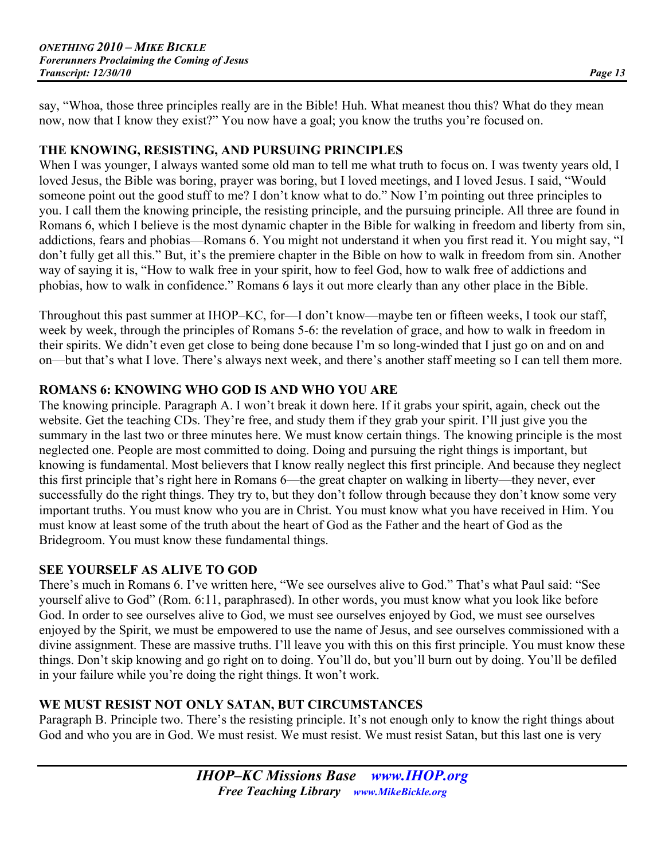say, "Whoa, those three principles really are in the Bible! Huh. What meanest thou this? What do they mean now, now that I know they exist?" You now have a goal; you know the truths you're focused on.

#### **THE KNOWING, RESISTING, AND PURSUING PRINCIPLES**

When I was younger, I always wanted some old man to tell me what truth to focus on. I was twenty years old, I loved Jesus, the Bible was boring, prayer was boring, but I loved meetings, and I loved Jesus. I said, "Would someone point out the good stuff to me? I don't know what to do." Now I'm pointing out three principles to you. I call them the knowing principle, the resisting principle, and the pursuing principle. All three are found in Romans 6, which I believe is the most dynamic chapter in the Bible for walking in freedom and liberty from sin, addictions, fears and phobias—Romans 6. You might not understand it when you first read it. You might say, "I don't fully get all this." But, it's the premiere chapter in the Bible on how to walk in freedom from sin. Another way of saying it is, "How to walk free in your spirit, how to feel God, how to walk free of addictions and phobias, how to walk in confidence." Romans 6 lays it out more clearly than any other place in the Bible.

Throughout this past summer at IHOP–KC, for—I don't know—maybe ten or fifteen weeks, I took our staff, week by week, through the principles of Romans 5-6: the revelation of grace, and how to walk in freedom in their spirits. We didn't even get close to being done because I'm so long-winded that I just go on and on and on—but that's what I love. There's always next week, and there's another staff meeting so I can tell them more.

## **ROMANS 6: KNOWING WHO GOD IS AND WHO YOU ARE**

The knowing principle. Paragraph A. I won't break it down here. If it grabs your spirit, again, check out the website. Get the teaching CDs. They're free, and study them if they grab your spirit. I'll just give you the summary in the last two or three minutes here. We must know certain things. The knowing principle is the most neglected one. People are most committed to doing. Doing and pursuing the right things is important, but knowing is fundamental. Most believers that I know really neglect this first principle. And because they neglect this first principle that's right here in Romans 6—the great chapter on walking in liberty—they never, ever successfully do the right things. They try to, but they don't follow through because they don't know some very important truths. You must know who you are in Christ. You must know what you have received in Him. You must know at least some of the truth about the heart of God as the Father and the heart of God as the Bridegroom. You must know these fundamental things.

## **SEE YOURSELF AS ALIVE TO GOD**

There's much in Romans 6. I've written here, "We see ourselves alive to God." That's what Paul said: "See yourself alive to God" (Rom. 6:11, paraphrased). In other words, you must know what you look like before God. In order to see ourselves alive to God, we must see ourselves enjoyed by God, we must see ourselves enjoyed by the Spirit, we must be empowered to use the name of Jesus, and see ourselves commissioned with a divine assignment. These are massive truths. I'll leave you with this on this first principle. You must know these things. Don't skip knowing and go right on to doing. You'll do, but you'll burn out by doing. You'll be defiled in your failure while you're doing the right things. It won't work.

## **WE MUST RESIST NOT ONLY SATAN, BUT CIRCUMSTANCES**

Paragraph B. Principle two. There's the resisting principle. It's not enough only to know the right things about God and who you are in God. We must resist. We must resist. We must resist Satan, but this last one is very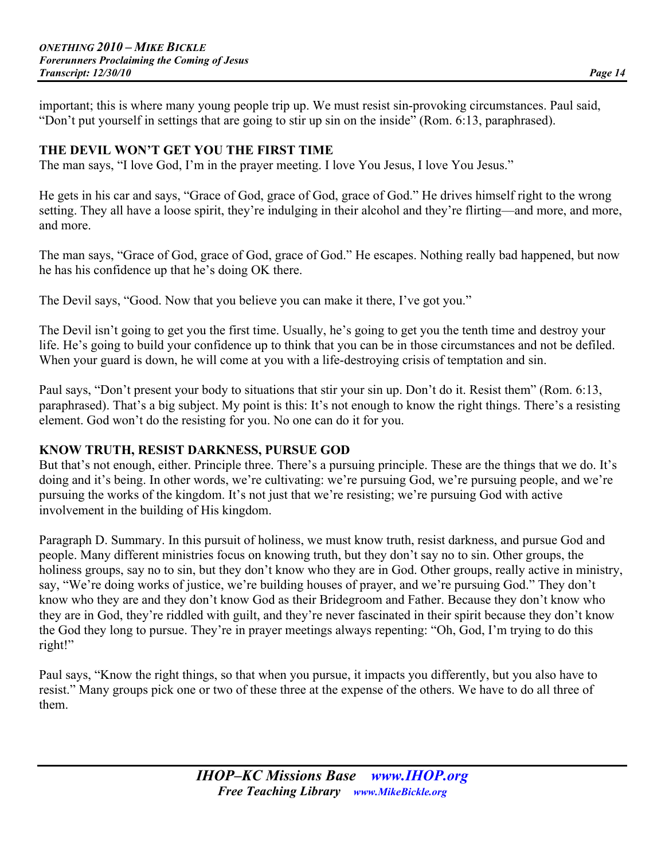important; this is where many young people trip up. We must resist sin-provoking circumstances. Paul said, "Don't put yourself in settings that are going to stir up sin on the inside" (Rom. 6:13, paraphrased).

## **THE DEVIL WON'T GET YOU THE FIRST TIME**

The man says, "I love God, I'm in the prayer meeting. I love You Jesus, I love You Jesus."

He gets in his car and says, "Grace of God, grace of God, grace of God." He drives himself right to the wrong setting. They all have a loose spirit, they're indulging in their alcohol and they're flirting—and more, and more, and more.

The man says, "Grace of God, grace of God, grace of God." He escapes. Nothing really bad happened, but now he has his confidence up that he's doing OK there.

The Devil says, "Good. Now that you believe you can make it there, I've got you."

The Devil isn't going to get you the first time. Usually, he's going to get you the tenth time and destroy your life. He's going to build your confidence up to think that you can be in those circumstances and not be defiled. When your guard is down, he will come at you with a life-destroying crisis of temptation and sin.

Paul says, "Don't present your body to situations that stir your sin up. Don't do it. Resist them" (Rom. 6:13, paraphrased). That's a big subject. My point is this: It's not enough to know the right things. There's a resisting element. God won't do the resisting for you. No one can do it for you.

#### **KNOW TRUTH, RESIST DARKNESS, PURSUE GOD**

But that's not enough, either. Principle three. There's a pursuing principle. These are the things that we do. It's doing and it's being. In other words, we're cultivating: we're pursuing God, we're pursuing people, and we're pursuing the works of the kingdom. It's not just that we're resisting; we're pursuing God with active involvement in the building of His kingdom.

Paragraph D. Summary. In this pursuit of holiness, we must know truth, resist darkness, and pursue God and people. Many different ministries focus on knowing truth, but they don't say no to sin. Other groups, the holiness groups, say no to sin, but they don't know who they are in God. Other groups, really active in ministry, say, "We're doing works of justice, we're building houses of prayer, and we're pursuing God." They don't know who they are and they don't know God as their Bridegroom and Father. Because they don't know who they are in God, they're riddled with guilt, and they're never fascinated in their spirit because they don't know the God they long to pursue. They're in prayer meetings always repenting: "Oh, God, I'm trying to do this right!"

Paul says, "Know the right things, so that when you pursue, it impacts you differently, but you also have to resist." Many groups pick one or two of these three at the expense of the others. We have to do all three of them.